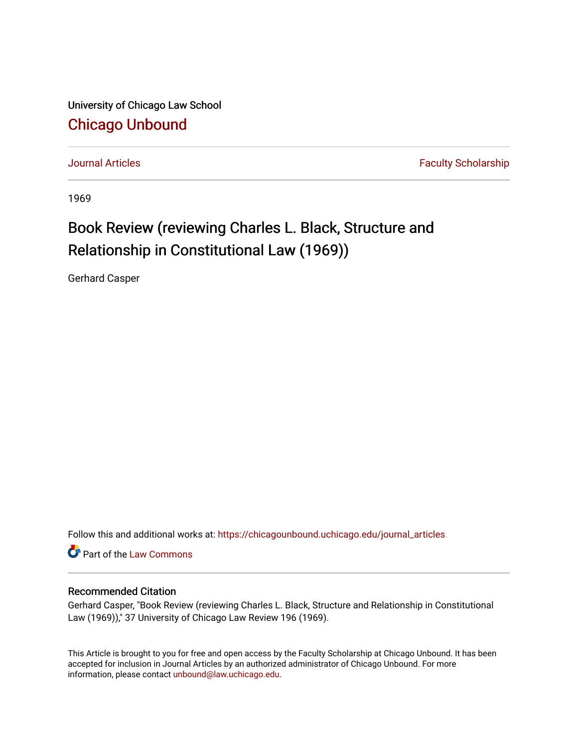University of Chicago Law School [Chicago Unbound](https://chicagounbound.uchicago.edu/)

[Journal Articles](https://chicagounbound.uchicago.edu/journal_articles) **Faculty Scholarship Journal Articles** 

1969

# Book Review (reviewing Charles L. Black, Structure and Relationship in Constitutional Law (1969))

Gerhard Casper

Follow this and additional works at: [https://chicagounbound.uchicago.edu/journal\\_articles](https://chicagounbound.uchicago.edu/journal_articles?utm_source=chicagounbound.uchicago.edu%2Fjournal_articles%2F7726&utm_medium=PDF&utm_campaign=PDFCoverPages) 

Part of the [Law Commons](http://network.bepress.com/hgg/discipline/578?utm_source=chicagounbound.uchicago.edu%2Fjournal_articles%2F7726&utm_medium=PDF&utm_campaign=PDFCoverPages)

### Recommended Citation

Gerhard Casper, "Book Review (reviewing Charles L. Black, Structure and Relationship in Constitutional Law (1969))," 37 University of Chicago Law Review 196 (1969).

This Article is brought to you for free and open access by the Faculty Scholarship at Chicago Unbound. It has been accepted for inclusion in Journal Articles by an authorized administrator of Chicago Unbound. For more information, please contact [unbound@law.uchicago.edu](mailto:unbound@law.uchicago.edu).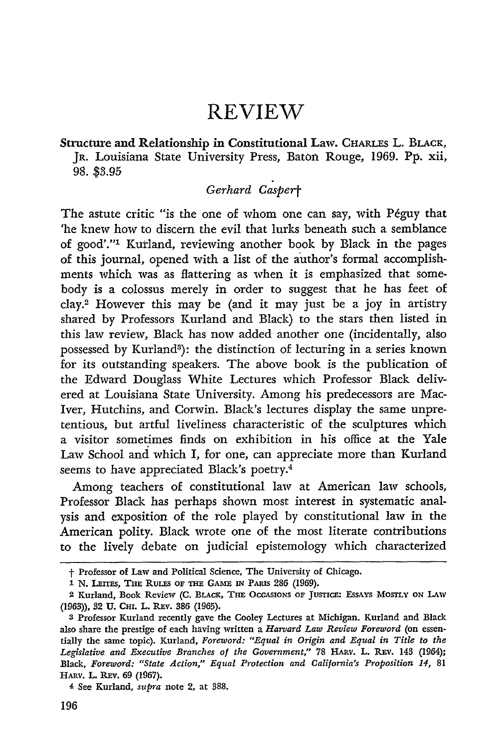## REVIEW

#### Structure and Relationship in Constitutional Law. CHARLEs L. BLACK, JR. Louisiana State University Press, Baton Rouge, **1969. Pp.** xii, **98. \$8.95**

### Gerhard *Caspert*

The astute critic "is the one of whom one can say, with Péguy that 'he knew how to discern the evil that lurks beneath such a semblance of good'."1 Kurland, reviewing another book by Black in the pages of this journal, opened with a list of the author's formal accomplishments which was as flattering as when it is emphasized that somebody is a colossus merely in order to suggest that he has feet of clay.2 However this may be (and it may just be a joy in artistry shared by Professors Kurland and Black) to the stars then listed in this law review, Black has now added another one (incidentally, also possessed by Kurland<sup>3</sup>): the distinction of lecturing in a series known for its outstanding speakers. The above book is the publication of the Edward Douglass White Lectures which Professor Black delivered at Louisiana State University. Among his predecessors are Mac-Iver, Hutchins, and Corwin. Black's lectures display the same unpretentious, but artful liveliness characteristic of the sculptures which a visitor sometimes finds on exhibition in his office at the Yale Law School and which *I,* for one, can appreciate more than Kurland seems to have appreciated Black's poetry.<sup>4</sup>

Among teachers of constitutional law at American law schools, Professor Black has perhaps shown most interest in systematic analysis and exposition of the role played by constitutional law in the American polity. Black wrote one of the most literate contributions to the lively debate on judicial epistemology which characterized

 $\dagger$  Professor of Law and Political Science, The University of Chicago.

<sup>1</sup> **N. LEITES, THE** RuLEs **OF THE GAME IN** PARIS **286** (1969).

<sup>2</sup> Kurland, Book Review (C. BLACK, **TIE OCCASIONS OF** JUSTICE: ESSAYS MOSTLY ON **LAW** (1963)), **32 U.** CrI. L. REv. **386 (1965).**

**<sup>3</sup>** Professor Kurland recently gave the Cooley Lectures at Michigan. Kurland and Black also share the prestige of each having written a *Harvard Law Review Foreword* (on essentially the same topic). Kurland, *Foreword: "Equal in Origin and Equal in Title to the* Legislative and Executive Branches of the Government," 78 HARV. L. REV. 143 (1964); Black, *Foreword: "State Action," Equal Protection and California's Proposition 14,* **81** HARV. L. REV. 69 (1967).

**<sup>4</sup>** See Kurland, *supra* note 2, at **388.**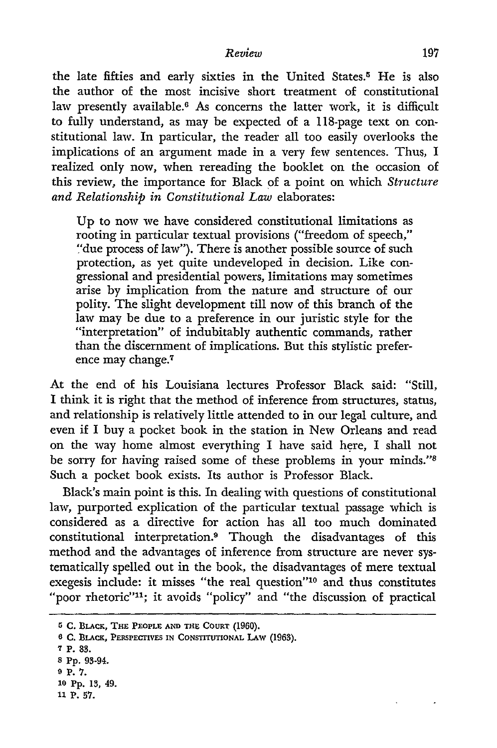the late fifties and early sixties in the United States.5 He is also the author of the most incisive short treatment of constitutional law presently available.6 As concerns the latter work, it is difficult to fully understand, as may be expected of a 118-page text on constitutional law. In particular, the reader all too easily overlooks the implications of an argument made in a very few sentences. Thus, I realized only now, when rereading the booklet on the occasion of this review, the importance for Black of a point on which *Structure and Relationship in Constitutional Law* elaborates:

Up to now we have considered constitutional limitations as rooting in particular textual provisions ("freedom of speech," "due process of law"). There is another possible source of such protection, as yet quite undeveloped in decision. Like congressional and presidential powers, limitations may sometimes arise by implication from the nature and structure of our polity. The slight development till now of this branch of the law may be due to a preference in our juristic style for the "interpretation" of indubitably authentic commands, rather than the discernment of implications. But this stylistic preference may change.7

At the end of his Louisiana lectures Professor Black said: "Still, I think it is right that the method of inference from structures, status, and relationship is relatively little attended to in our legal culture, and even if I buy a pocket book in the station in New Orleans and read on the way home almost everything I have said here, I shall not be sorry for having raised some of these problems in your minds."<sup>8</sup> Such a pocket book exists. Its author is Professor Black.

Black's main point is this. In dealing with questions of constitutional law, purported explication of the particular textual passage which is considered as a directive for action has all too much dominated constitutional interpretation.9 Though the disadvantages of this method and the advantages of inference from structure are never systematically spelled out in the book, the disadvantages of mere textual exegesis include: it misses "the real question"<sup>10</sup> and thus constitutes "poor rhetoric"<sup>11</sup>; it avoids "policy" and "the discussion of practical

- **10 Pp.** 13, 49.
- **11** P. **57.**

**<sup>5</sup> C. BLACK, THE PEOPLE AND THE** CoURT **(1960).**

**<sup>6</sup> C. BLACK, PERSPECTIVES IN CONSTITUTIONAL LAW (1963).** 

**<sup>7</sup>** P. **83.**

**<sup>8</sup>** Pp. 93-94.

**<sup>9</sup> P. 7.**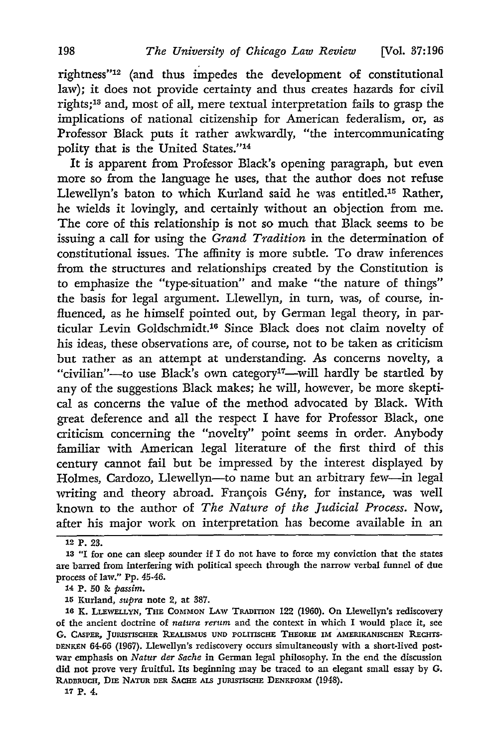rightness"<sup>12</sup> (and thus impedes the development of constitutional law); it does not provide certainty and thus creates hazards for civil rights; 13 and, most of all, mere textual interpretation fails to grasp the implications of national citizenship for American federalism, or, as Professor Black puts it rather awkwardly, "the intercommunicating polity that is the United States."<sup>14</sup>

It is apparent from Professor Black's opening paragraph, but even more so from the language he uses, that the author does not refuse Llewellyn's baton to which Kurland said he was entitled.15 Rather, he wields it lovingly, and certainly without an objection from me. The core of this relationship is not so much that Black seems to be issuing a call for using the *Grand Tradition* in the determination of constitutional issues. The affinity is more subtle. To draw inferences from the structures and relationships created by the Constitution is to emphasize the "type-situation" and make "the nature of things" the basis for legal argument. Llewellyn, in turn, was, of course, influenced, as he himself pointed out, by German legal theory, in particular Levin Goldschmidt.<sup>16</sup> Since Black does not claim novelty of his ideas, these observations are, of course, not to be taken as criticism but rather as an attempt at understanding. As concerns novelty, a "civilian"-to use Black's own category' <sup>7</sup> -will hardly be startled by any of the suggestions Black makes; he will, however, be more skeptical as concerns the value of the method advocated by Black. With great deference and all the respect I have for Professor Black, one criticism concerning the "novelty" point seems in order. Anybody familiar with American legal literature of the first third of this century cannot fail but be impressed by the interest displayed by Holmes, Cardozo, Llewellyn-to name but an arbitrary few-in legal writing and theory abroad. François Gény, for instance, was well known to the author of *The Nature of the Judicial Process.* Now, after his major work on interpretation has become available in an

**15** Kurland, *supra* note 2, at 387.

**'7** P. 4.

<sup>12</sup> P. **23.**

**<sup>13</sup>** "I for one can sleep sounder if I do not have to force my conviction that the states are barred from interfering with political speech through the narrow verbal funnel of due process of law." Pp. 45-46.

**<sup>14</sup>** P. **50** & *passim.*

<sup>16</sup> K. LLEWELLYN, THE COMMON LAW TRADITION 122 (1960). On Llewellyn's rediscovery of the ancient doctrine of *natura rerum* and the context in which I would place it, see G. CASPER, JURISTISCHER REALISMUS UND POLITISCHE THEORIE IM AMERIKANISCHEN RECHTS-**DENKEN 64-66 (1967).** Llewellyn's rediscovery occurs simultaneously with a short-lived postwar emphasis on *Natur der Sache* in German legal philosophy. In the end the discussion did not prove very fruitful. Its beginning may be traced to an elegant small essay by **G.** RADBRUCH, DIE NATUR DER SACHE ALS JURISTISCHE DENKFORM (1948).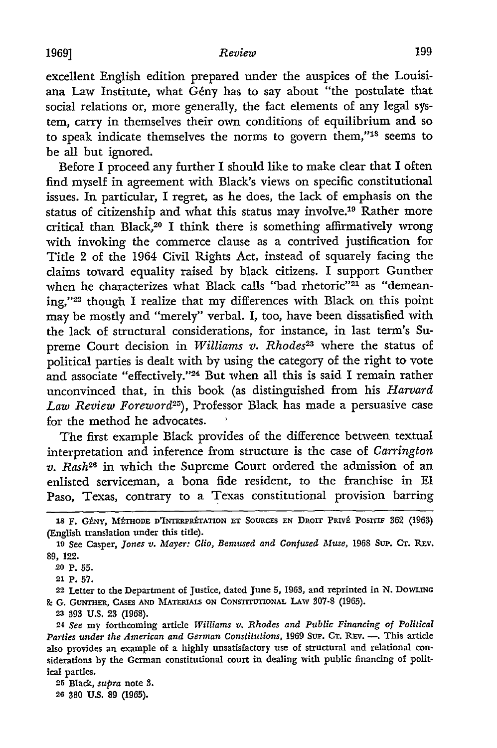excellent English edition prepared under the auspices of the Louisiana Law Institute, what Gény has to say about "the postulate that social relations or, more generally, the fact elements of any legal system, carry in themselves their own conditions of equilibrium and so to speak indicate themselves the norms to govern them,"<sup>18</sup> seems to be all but ignored.

Before I proceed any further I should like to make clear that I often find myself in agreement with Black's views on specific constitutional issues. In particular, I regret, as he does, the lack of emphasis on the status of citizenship and what this status may involve.19 Rather more critical than Black,<sup>20</sup> I think there is something affirmatively wrong with invoking the commerce clause as a contrived justification for Title 2 of the 1964 Civil Rights Act, instead of squarely facing the claims toward equality raised by black citizens. I support Gunther when he characterizes what Black calls "bad rhetoric"<sup>21</sup> as "demeaning,"22 though I realize that my differences with Black on this point may be mostly and "merely" verbal. I, too, have been dissatisfied with the lack of structural considerations, for instance, in last term's Supreme Court decision in *Williams v. Rhodes*<sup>23</sup> where the status of political parties is dealt with by using the category of the right to vote and associate "effectively."<sup>24</sup> But when all this is said I remain rather unconvinced that, in this book (as distinguished from his *Harvard Law Review Foreword25),* Professor Black has made a persuasive case for the method he advocates.

The first example Black provides of the difference between textual interpretation and inference from structure is the case of *Carrington v. Rash26* in which the Supreme Court ordered the admission of an enlisted serviceman, a bona fide resident, to the franchise in **El** Paso, Texas, contrary to a Texas constitutional provision barring

<sup>18</sup> F. Gény, Méthode d'Interprétation et Sources en Droit Privé Positif 362 (1963) (English translation under this title).

**<sup>19</sup>**See Casper, *Jones v. Mayer: Clio, Bemused and Confused Muse,* 1968 Sup. **CT.** REV. 89, 122.

**<sup>20</sup> P. 55.**

**<sup>21</sup> P. 57.**

**<sup>22</sup>** Letter to the Department of Justice, dated June **5, 1963,** and reprinted in **N.** DOWLMNG **g-** G. GUNTHER, **CASES AND MATERIAIS ON** CONSTITUTIONAL LAW **307-8** (1965).

**<sup>23</sup>** 393 **U.S.** 23 (1968).

**<sup>24</sup>***See* my forthcoming article *Williams v. Rhodes and Public Financing of Political Parties under the American and German Constitutions,* 1969 **Sup. CT. REv. -.** This article also provides an example of a highly unsatisfactory use of structural and relational considerations by the German constitutional court in dealing with public financing of political parties.

**<sup>25</sup>** Black, *supra* note **3.**

**<sup>26 380</sup> US.** 89 **(1965).**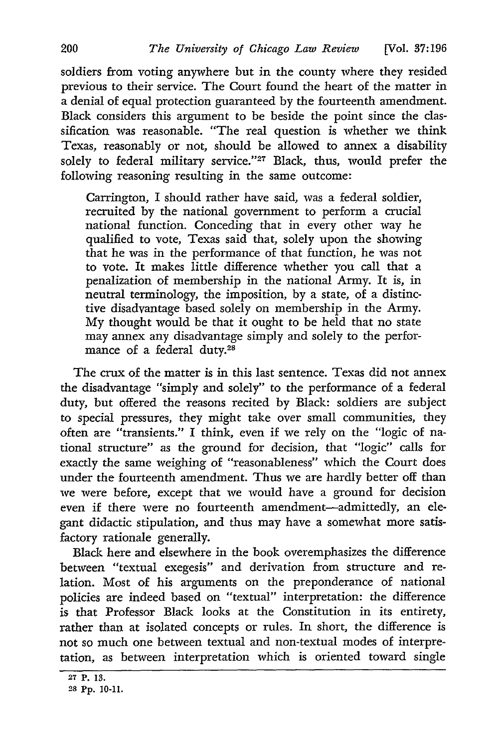soldiers from voting anywhere but in the county where they resided previous to their service. The Court found the heart of the matter in a denial of equal protection guaranteed by the fourteenth amendment. Black considers this argument to be beside the point since the classification was reasonable. "The real question is whether we think Texas, reasonably or not, should be allowed to annex a disability solely to federal military service."<sup>27</sup> Black, thus, would prefer the following reasoning resulting in the same outcome:

Carrington, I should rather have said, was a federal soldier, recruited by the national government to perform a crucial national function. Conceding that in every other way he qualified to vote, Texas said that, solely upon the showing that he was in the performance of that function, he was not to vote. It makes little difference whether you call that a penalization of membership in the national Army. It is, in neutral terminology, the imposition, by a state, of a distinctive disadvantage based solely on membership in the Army. My thought would be that it ought to be held that no state may annex any disadvantage simply and solely to the performance of a federal duty.28

The crux of the matter is in this last sentence. Texas did not annex the disadvantage "simply and solely" to the performance of a federal duty, but offered the reasons recited by Black: soldiers are subject to special pressures, they might take over small communities, they often are "transients." I think, even if we rely on the "logic of national structure" as the ground for decision, that "logic" calls for exactly the same weighing of "reasonableness" which the Court does under the fourteenth amendment. Thus we are hardly better off than we were before, except that we would have a ground for decision even if there were no fourteenth amendment-admittedly, an elegant didactic stipulation, and thus may have a somewhat more satisfactory rationale generally.

Black here and elsewhere in the book overemphasizes the difference between "textual exegesis" and derivation from structure and relation. Most of his arguments on the preponderance of national policies are indeed based on "textual" interpretation: the difference is that Professor Black looks at the Constitution in its entirety, rather than at isolated concepts or rules. In short, the difference is not so much one between textual and non-textual modes of interpretation, as between interpretation which is oriented toward single

**<sup>27</sup>** P. **13.**

**<sup>28</sup> Pp. 10-11.**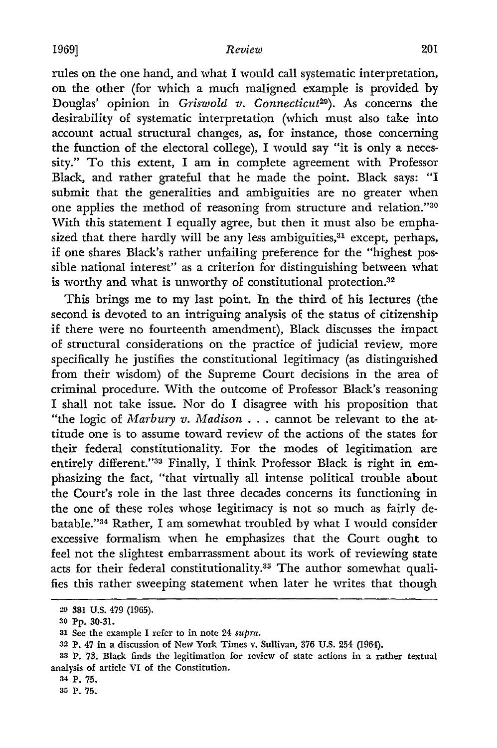rules on the one hand, and what I would call systematic interpretation, on the other (for which a much maligned example is provided by Douglas' opinion in *Griswold v. Connecticut*<sup>29</sup>). As concerns the desirability of systematic interpretation (which must also take into account actual structural changes, as, for instance, those concerning the function of the electoral college), I would say "it is only a necessity." To this extent, I am in complete agreement with Professor Black, and rather grateful that he made the point. Black says: "I submit that the generalities and ambiguities are no greater when one applies the method of reasoning from structure and relation."<sup>30</sup> With this statement I equally agree, but then it must also be emphasized that there hardly will be any less ambiguities,<sup>31</sup> except, perhaps, if one shares Black's rather unfailing preference for the "highest possible national interest" as a criterion for distinguishing between what is worthy and what is unworthy of constitutional protection.<sup>32</sup>

This brings me to my last point. In the third of his lectures (the second is devoted to an intriguing analysis of the status of citizenship if there were no fourteenth amendment), Black discusses the impact of structural considerations on the practice of judicial review, more specifically he justifies the constitutional legitimacy (as distinguished from their wisdom) of the Supreme Court decisions in the area of criminal procedure. With the outcome of Professor Black's reasoning I shall not take issue. Nor do I disagree with his proposition that "the logic of *Marbury v. Madison* . . . cannot be relevant to the attitude one is to assume toward review of the actions of the states for their federal constitutionality. For the modes of legitimation are entirely different."<sup>33</sup> Finally, I think Professor Black is right in emphasizing the fact, "that virtually all intense political trouble about the Court's role in the last three decades concerns its functioning in the one of these roles whose legitimacy is not so much as fairly debatable."34 Rather, I am somewhat troubled by what I would consider excessive formalism when he emphasizes that the Court ought to feel not the slightest embarrassment about its work of reviewing state acts for their federal constitutionality.<sup>35</sup> The author somewhat qualifies this rather sweeping statement when later he writes that though

**<sup>29 381</sup>** U.S. 479 **(1965).**

**<sup>30</sup> Pp. 80-31.**

**<sup>31</sup>** See the example **I** refer to in note 24 *supra.*

**<sup>32</sup>** p. 47 in a discussion of New York Times v. Sullivan, 376 U.S. 254 (1964).

**<sup>33</sup>** P. **73.** Black finds the legitimation for review of state actions in a rather textual analysis of article VI of the Constitution.

**<sup>34</sup>** P. **75.**

**<sup>35</sup>**p. **75.**